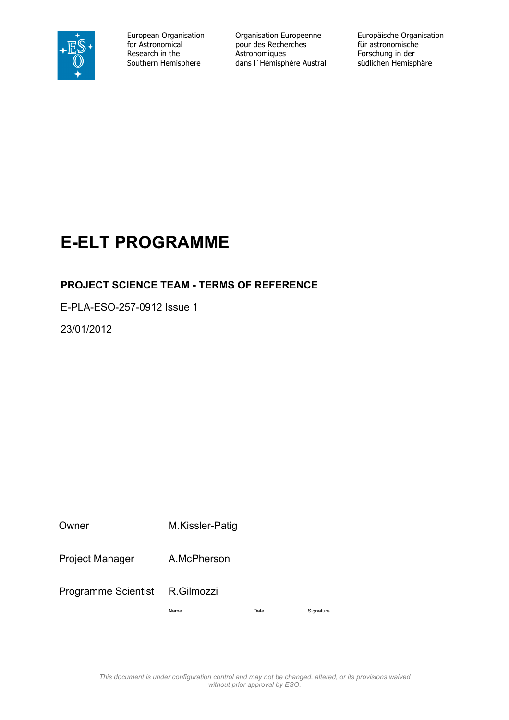

for Astronomical pour des Recherches<br>Research in the **Astronomiques** 

European Organisation Crganisation Européenne Europäische Organisation<br>
for Astronomical pour des Recherches für astronomische Research in the **Astronomiques**<br>
Southern Hemisphere dans I Thémisphère Austral südlichen Hemisphäre dans l'Hémisphère Austral

## **E-ELT PROGRAMME**

#### **PROJECT SCIENCE TEAM - TERMS OF REFERENCE**

E-PLA-ESO-257-0912 Issue 1

23/01/2012

| Owner                      | M.Kissler-Patig |      |           |  |
|----------------------------|-----------------|------|-----------|--|
| <b>Project Manager</b>     | A.McPherson     |      |           |  |
| <b>Programme Scientist</b> | R.Gilmozzi      |      |           |  |
|                            | Name            | Date | Signature |  |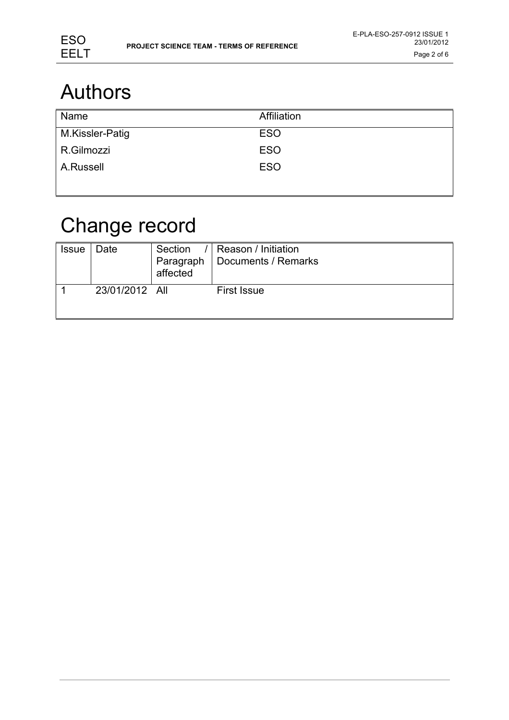

# Authors

| Name            | Affiliation |
|-----------------|-------------|
| M.Kissler-Patig | <b>ESO</b>  |
| R.Gilmozzi      | <b>ESO</b>  |
| A.Russell       | <b>ESO</b>  |
|                 |             |

# Change record

| <b>Issue</b> | Date           | Section<br>affected | Reason / Initiation<br>Paragraph   Documents / Remarks |
|--------------|----------------|---------------------|--------------------------------------------------------|
|              | 23/01/2012 All |                     | <b>First Issue</b>                                     |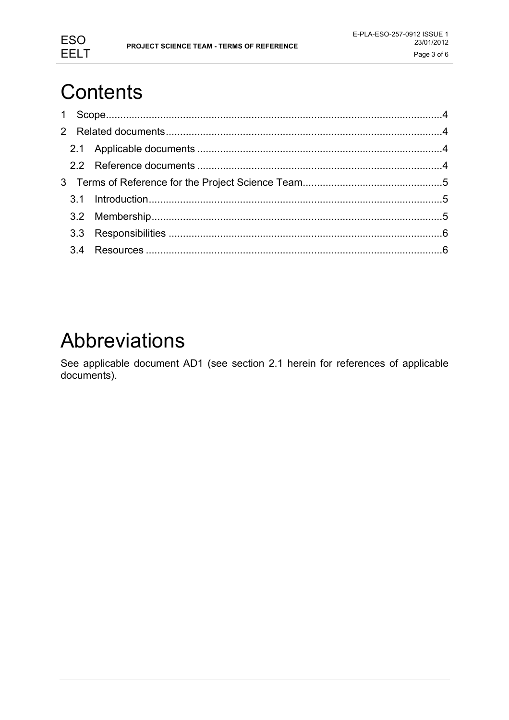

# **Contents**

## Abbreviations

See applicable document AD1 (see section 2.1 herein for references of applicable documents).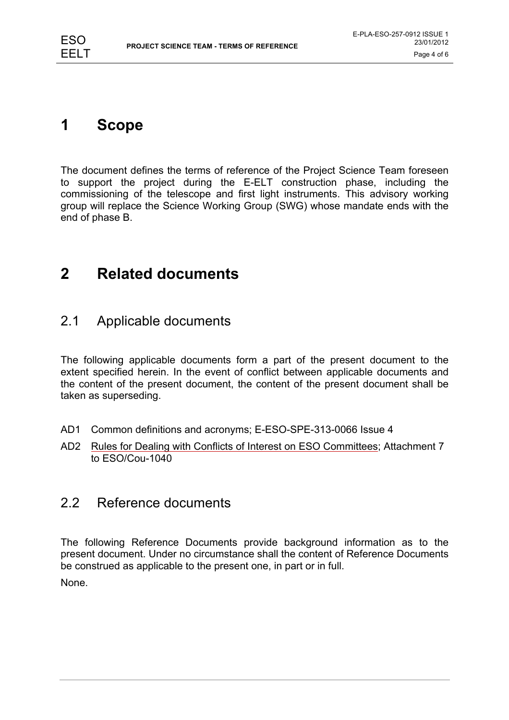### **1 Scope**

The document defines the terms of reference of the Project Science Team foreseen to support the project during the E-ELT construction phase, including the commissioning of the telescope and first light instruments. This advisory working group will replace the Science Working Group (SWG) whose mandate ends with the end of phase B.

### **2 Related documents**

#### 2.1 Applicable documents

The following applicable documents form a part of the present document to the extent specified herein. In the event of conflict between applicable documents and the content of the present document, the content of the present document shall be taken as superseding.

- AD1 Common definitions and acronyms; E-ESO-SPE-313-0066 Issue 4
- AD2 Rules for Dealing with Conflicts of Interest on ESO Committees; Attachment 7 to ESO/Cou-1040

#### 2.2 Reference documents

The following Reference Documents provide background information as to the present document. Under no circumstance shall the content of Reference Documents be construed as applicable to the present one, in part or in full.

None.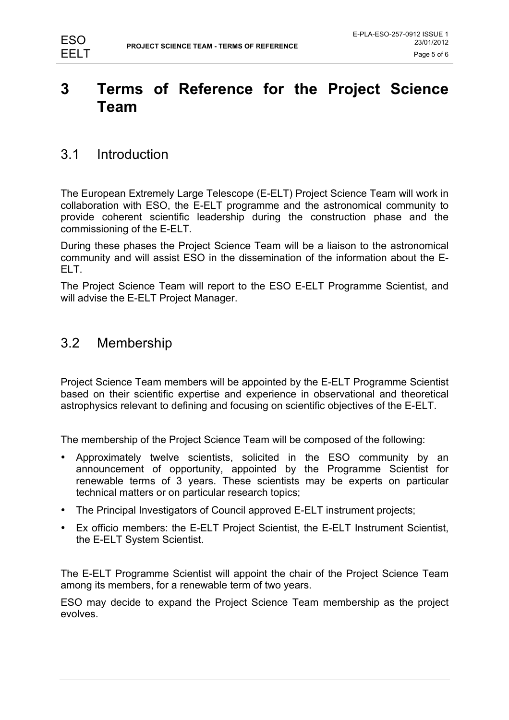### **3 Terms of Reference for the Project Science Team**

#### 3.1 Introduction

The European Extremely Large Telescope (E-ELT) Project Science Team will work in collaboration with ESO, the E-ELT programme and the astronomical community to provide coherent scientific leadership during the construction phase and the commissioning of the E-ELT.

During these phases the Project Science Team will be a liaison to the astronomical community and will assist ESO in the dissemination of the information about the E-ELT.

The Project Science Team will report to the ESO E-ELT Programme Scientist, and will advise the E-ELT Project Manager.

#### 3.2 Membership

Project Science Team members will be appointed by the E-ELT Programme Scientist based on their scientific expertise and experience in observational and theoretical astrophysics relevant to defining and focusing on scientific objectives of the E-ELT.

The membership of the Project Science Team will be composed of the following:

- Approximately twelve scientists, solicited in the ESO community by an announcement of opportunity, appointed by the Programme Scientist for renewable terms of 3 years. These scientists may be experts on particular technical matters or on particular research topics;
- The Principal Investigators of Council approved E-ELT instrument projects;
- Ex officio members: the E-ELT Project Scientist, the E-ELT Instrument Scientist, the E-ELT System Scientist.

The E-ELT Programme Scientist will appoint the chair of the Project Science Team among its members, for a renewable term of two years.

ESO may decide to expand the Project Science Team membership as the project evolves.